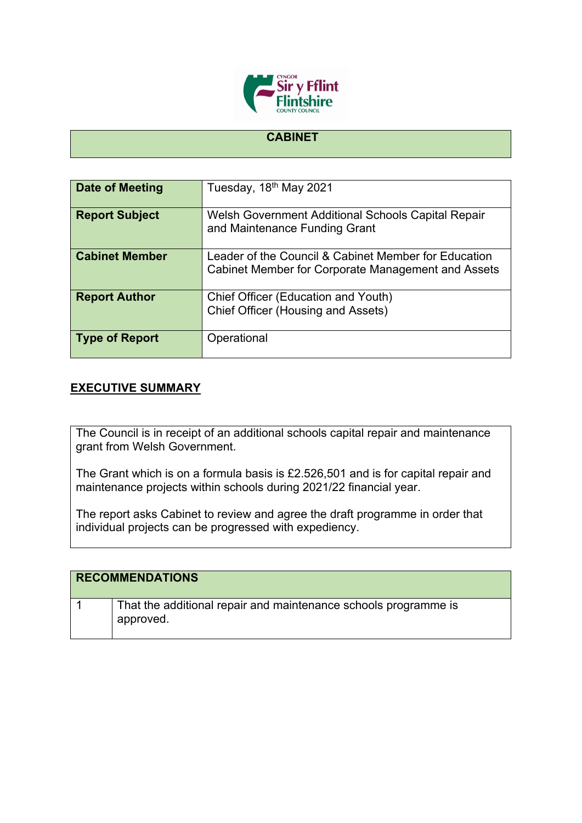

## **CABINET**

| Date of Meeting       | Tuesday, 18 <sup>th</sup> May 2021                                                                                |
|-----------------------|-------------------------------------------------------------------------------------------------------------------|
|                       |                                                                                                                   |
| <b>Report Subject</b> | Welsh Government Additional Schools Capital Repair<br>and Maintenance Funding Grant                               |
| <b>Cabinet Member</b> | Leader of the Council & Cabinet Member for Education<br><b>Cabinet Member for Corporate Management and Assets</b> |
| <b>Report Author</b>  | Chief Officer (Education and Youth)<br>Chief Officer (Housing and Assets)                                         |
| <b>Type of Report</b> | Operational                                                                                                       |

## **EXECUTIVE SUMMARY**

The Council is in receipt of an additional schools capital repair and maintenance grant from Welsh Government.

The Grant which is on a formula basis is £2.526,501 and is for capital repair and maintenance projects within schools during 2021/22 financial year.

The report asks Cabinet to review and agree the draft programme in order that individual projects can be progressed with expediency.

| <b>RECOMMENDATIONS</b> |                                                                              |
|------------------------|------------------------------------------------------------------------------|
|                        | That the additional repair and maintenance schools programme is<br>approved. |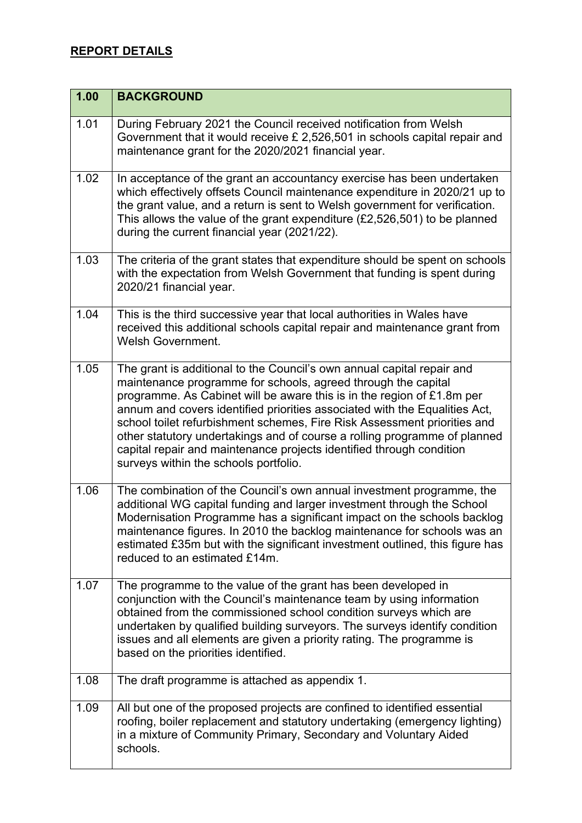## **REPORT DETAILS**

| 1.00 | <b>BACKGROUND</b>                                                                                                                                                                                                                                                                                                                                                                                                                                                                                                                                                         |
|------|---------------------------------------------------------------------------------------------------------------------------------------------------------------------------------------------------------------------------------------------------------------------------------------------------------------------------------------------------------------------------------------------------------------------------------------------------------------------------------------------------------------------------------------------------------------------------|
| 1.01 | During February 2021 the Council received notification from Welsh<br>Government that it would receive £ 2,526,501 in schools capital repair and<br>maintenance grant for the 2020/2021 financial year.                                                                                                                                                                                                                                                                                                                                                                    |
| 1.02 | In acceptance of the grant an accountancy exercise has been undertaken<br>which effectively offsets Council maintenance expenditure in 2020/21 up to<br>the grant value, and a return is sent to Welsh government for verification.<br>This allows the value of the grant expenditure $(E2, 526, 501)$ to be planned<br>during the current financial year (2021/22).                                                                                                                                                                                                      |
| 1.03 | The criteria of the grant states that expenditure should be spent on schools<br>with the expectation from Welsh Government that funding is spent during<br>2020/21 financial year.                                                                                                                                                                                                                                                                                                                                                                                        |
| 1.04 | This is the third successive year that local authorities in Wales have<br>received this additional schools capital repair and maintenance grant from<br><b>Welsh Government.</b>                                                                                                                                                                                                                                                                                                                                                                                          |
| 1.05 | The grant is additional to the Council's own annual capital repair and<br>maintenance programme for schools, agreed through the capital<br>programme. As Cabinet will be aware this is in the region of £1.8m per<br>annum and covers identified priorities associated with the Equalities Act,<br>school toilet refurbishment schemes, Fire Risk Assessment priorities and<br>other statutory undertakings and of course a rolling programme of planned<br>capital repair and maintenance projects identified through condition<br>surveys within the schools portfolio. |
| 1.06 | The combination of the Council's own annual investment programme, the<br>additional WG capital funding and larger investment through the School<br>Modernisation Programme has a significant impact on the schools backlog<br>maintenance figures. In 2010 the backlog maintenance for schools was an<br>estimated £35m but with the significant investment outlined, this figure has<br>reduced to an estimated £14m.                                                                                                                                                    |
| 1.07 | The programme to the value of the grant has been developed in<br>conjunction with the Council's maintenance team by using information<br>obtained from the commissioned school condition surveys which are<br>undertaken by qualified building surveyors. The surveys identify condition<br>issues and all elements are given a priority rating. The programme is<br>based on the priorities identified.                                                                                                                                                                  |
| 1.08 | The draft programme is attached as appendix 1.                                                                                                                                                                                                                                                                                                                                                                                                                                                                                                                            |
| 1.09 | All but one of the proposed projects are confined to identified essential<br>roofing, boiler replacement and statutory undertaking (emergency lighting)<br>in a mixture of Community Primary, Secondary and Voluntary Aided<br>schools.                                                                                                                                                                                                                                                                                                                                   |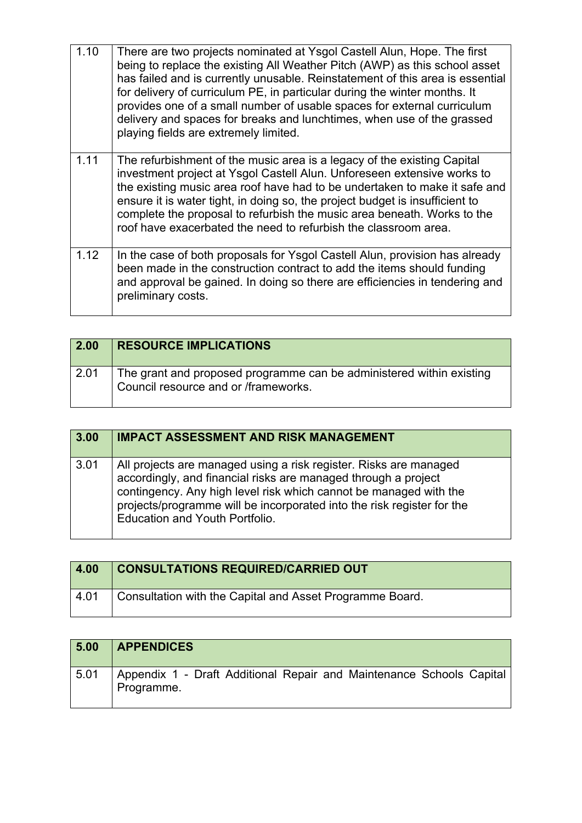| 1.10 | There are two projects nominated at Ysgol Castell Alun, Hope. The first<br>being to replace the existing All Weather Pitch (AWP) as this school asset<br>has failed and is currently unusable. Reinstatement of this area is essential<br>for delivery of curriculum PE, in particular during the winter months. It<br>provides one of a small number of usable spaces for external curriculum<br>delivery and spaces for breaks and lunchtimes, when use of the grassed<br>playing fields are extremely limited. |
|------|-------------------------------------------------------------------------------------------------------------------------------------------------------------------------------------------------------------------------------------------------------------------------------------------------------------------------------------------------------------------------------------------------------------------------------------------------------------------------------------------------------------------|
| 1.11 | The refurbishment of the music area is a legacy of the existing Capital<br>investment project at Ysgol Castell Alun. Unforeseen extensive works to<br>the existing music area roof have had to be undertaken to make it safe and<br>ensure it is water tight, in doing so, the project budget is insufficient to<br>complete the proposal to refurbish the music area beneath. Works to the<br>roof have exacerbated the need to refurbish the classroom area.                                                    |
| 1.12 | In the case of both proposals for Ysgol Castell Alun, provision has already<br>been made in the construction contract to add the items should funding<br>and approval be gained. In doing so there are efficiencies in tendering and<br>preliminary costs.                                                                                                                                                                                                                                                        |

| $\vert$ 2.00 | <b>RESOURCE IMPLICATIONS</b>                                                                                 |
|--------------|--------------------------------------------------------------------------------------------------------------|
| 2.01         | The grant and proposed programme can be administered within existing<br>Council resource and or /frameworks. |

| 3.00 | <b>IMPACT ASSESSMENT AND RISK MANAGEMENT</b>                                                                                                                                                                                                                                                                                |
|------|-----------------------------------------------------------------------------------------------------------------------------------------------------------------------------------------------------------------------------------------------------------------------------------------------------------------------------|
| 3.01 | All projects are managed using a risk register. Risks are managed<br>accordingly, and financial risks are managed through a project<br>contingency. Any high level risk which cannot be managed with the<br>projects/programme will be incorporated into the risk register for the<br><b>Education and Youth Portfolio.</b> |

| 4.00 | <b>CONSULTATIONS REQUIRED/CARRIED OUT</b>                |
|------|----------------------------------------------------------|
| 4.01 | Consultation with the Capital and Asset Programme Board. |

| 5.00 | <b>APPENDICES</b>                                                                  |
|------|------------------------------------------------------------------------------------|
| 5.01 | Appendix 1 - Draft Additional Repair and Maintenance Schools Capital<br>Programme. |